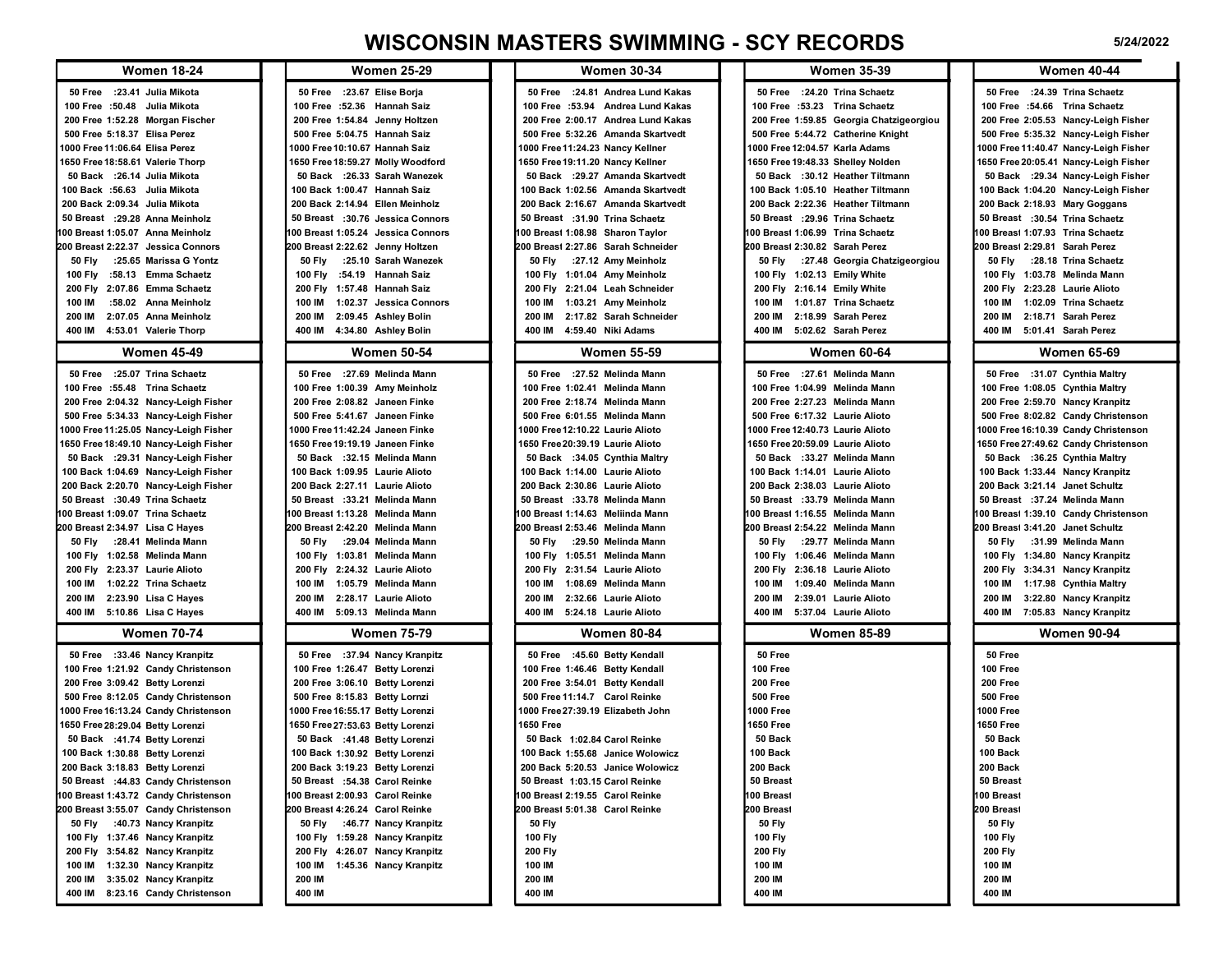## WISCONSIN MASTERS SWIMMING - SCY RECORDS 5/24/2022

|                                                                                                                                                                                                                                                                                                                                                                                                                                                                                                                                                                                                                                                                                 |                                                                                                                                                                                                                                                                                                                                                                                                                                                                                                                                                                                                                                          |                                                                                                                                                                                                                                                                                                                                                                                                                                                                                                                                                                                                                                        | <b>WISCONSIN MASTERS SWIMMING - SCY RECORDS</b>                                                                                                                                                                                                                                                                                                                                                                                                                                                                                                                                                                                              | 5/24/2022                                                                                                                                                                                                                                                                                                                                                                                                                                                                                                                                                                                                                                                                  |  |
|---------------------------------------------------------------------------------------------------------------------------------------------------------------------------------------------------------------------------------------------------------------------------------------------------------------------------------------------------------------------------------------------------------------------------------------------------------------------------------------------------------------------------------------------------------------------------------------------------------------------------------------------------------------------------------|------------------------------------------------------------------------------------------------------------------------------------------------------------------------------------------------------------------------------------------------------------------------------------------------------------------------------------------------------------------------------------------------------------------------------------------------------------------------------------------------------------------------------------------------------------------------------------------------------------------------------------------|----------------------------------------------------------------------------------------------------------------------------------------------------------------------------------------------------------------------------------------------------------------------------------------------------------------------------------------------------------------------------------------------------------------------------------------------------------------------------------------------------------------------------------------------------------------------------------------------------------------------------------------|----------------------------------------------------------------------------------------------------------------------------------------------------------------------------------------------------------------------------------------------------------------------------------------------------------------------------------------------------------------------------------------------------------------------------------------------------------------------------------------------------------------------------------------------------------------------------------------------------------------------------------------------|----------------------------------------------------------------------------------------------------------------------------------------------------------------------------------------------------------------------------------------------------------------------------------------------------------------------------------------------------------------------------------------------------------------------------------------------------------------------------------------------------------------------------------------------------------------------------------------------------------------------------------------------------------------------------|--|
| <b>Women 18-24</b>                                                                                                                                                                                                                                                                                                                                                                                                                                                                                                                                                                                                                                                              | <b>Women 25-29</b>                                                                                                                                                                                                                                                                                                                                                                                                                                                                                                                                                                                                                       | <b>Women 30-34</b>                                                                                                                                                                                                                                                                                                                                                                                                                                                                                                                                                                                                                     | <b>Women 35-39</b>                                                                                                                                                                                                                                                                                                                                                                                                                                                                                                                                                                                                                           | <b>Women 40-44</b>                                                                                                                                                                                                                                                                                                                                                                                                                                                                                                                                                                                                                                                         |  |
| 50 Free : 23.41 Julia Mikota<br>100 Free :50.48 Julia Mikota<br>200 Free 1:52.28 Morgan Fischer<br>500 Free 5:18.37 Elisa Perez<br>1000 Free 11:06.64 Elisa Perez<br>1650 Free 18:58.61 Valerie Thorp<br>50 Back : 26.14 Julia Mikota<br>100 Back :56.63 Julia Mikota<br>200 Back 2:09.34 Julia Mikota                                                                                                                                                                                                                                                                                                                                                                          | 50 Free : 23.67 Elise Borja<br>100 Free :52.36 Hannah Saiz<br>200 Free 1:54.84 Jenny Holtzen<br>500 Free 5:04.75 Hannah Saiz<br>1000 Free 10:10.67 Hannah Saiz<br>1650 Free 18:59.27 Molly Woodford<br>50 Back :26.33 Sarah Wanezek<br>100 Back 1:00.47 Hannah Saiz<br>200 Back 2:14.94 Ellen Meinholz<br>50 Breast :30.76 Jessica Connors                                                                                                                                                                                                                                                                                               | 50 Free : 24.81 Andrea Lund Kakas<br>100 Free :53.94 Andrea Lund Kakas<br>200 Free 2:00.17 Andrea Lund Kakas<br>500 Free 5:32.26 Amanda Skartvedt<br>1000 Free 11:24.23 Nancy Kellner<br>1650 Free 19:11.20 Nancy Kellner<br>50 Back : 29.27 Amanda Skartvedt<br>100 Back 1:02.56 Amanda Skartvedt<br>200 Back 2:16.67 Amanda Skartvedt                                                                                                                                                                                                                                                                                                | 50 Free : 24.20 Trina Schaetz<br>100 Free :53.23 Trina Schaetz<br>200 Free 1:59.85 Georgia Chatzigeorgiou<br>500 Free 5:44.72 Catherine Knight<br>1000 Free 12:04.57 Karla Adams<br>1650 Free 19:48.33 Shelley Nolden<br>50 Back :30.12 Heather Tiltmann<br>100 Back 1:05.10 Heather Tiltmann<br>200 Back 2:22.36 Heather Tiltmann                                                                                                                                                                                                                                                                                                           | 50 Free : 24.39 Trina Schaetz<br>100 Free :54.66 Trina Schaetz<br>200 Free 2:05.53 Nancy-Leigh Fisher<br>500 Free 5:35.32 Nancy-Leigh Fisher<br>1000 Free 11:40.47 Nancy-Leigh Fisher<br>1650 Free 20:05.41 Nancy-Leigh Fisher<br>50 Back : 29.34 Nancy-Leigh Fisher<br>100 Back 1:04.20 Nancy-Leigh Fisher<br>200 Back 2:18.93 Mary Goggans                                                                                                                                                                                                                                                                                                                               |  |
| 50 Breast : 29.28 Anna Meinholz<br>100 Breast 1:05.07 Anna Meinholz                                                                                                                                                                                                                                                                                                                                                                                                                                                                                                                                                                                                             | 100 Breast 1:05.24 Jessica Connors                                                                                                                                                                                                                                                                                                                                                                                                                                                                                                                                                                                                       | 50 Breast :31.90 Trina Schaetz<br>100 Breast 1:08.98 Sharon Taylor                                                                                                                                                                                                                                                                                                                                                                                                                                                                                                                                                                     | 50 Breast : 29.96 Trina Schaetz<br>100 Breast 1:06.99 Trina Schaetz                                                                                                                                                                                                                                                                                                                                                                                                                                                                                                                                                                          | 50 Breast :30.54 Trina Schaetz<br>100 Breast 1:07.93 Trina Schaetz                                                                                                                                                                                                                                                                                                                                                                                                                                                                                                                                                                                                         |  |
| 200 Breast 2:22.37 Jessica Connors<br>50 Fly :25.65 Marissa G Yontz<br>100 Fly :58.13 Emma Schaetz<br>200 Fly 2:07.86 Emma Schaetz<br>:58.02 Anna Meinholz<br>100 IM<br>200 IM 2:07.05 Anna Meinholz<br>400 IM 4:53.01 Valerie Thorp                                                                                                                                                                                                                                                                                                                                                                                                                                            | 200 Breast 2:22.62 Jenny Holtzen<br><b>50 Fly</b><br>:25.10 Sarah Wanezek<br>100 Fly :54.19 Hannah Saiz<br>200 Fly 1:57.48 Hannah Saiz<br>100 IM 1:02.37 Jessica Connors<br>200 IM 2:09.45 Ashley Bolin<br>400 IM 4:34.80 Ashley Bolin                                                                                                                                                                                                                                                                                                                                                                                                   | 200 Breast 2:27.86 Sarah Schneider<br>:27.12 Amy Meinholz<br>50 Fly<br>100 Fly 1:01.04 Amy Meinholz<br>200 Fly 2:21.04 Leah Schneider<br>100 IM 1:03.21 Amy Meinholz<br>200 IM 2:17.82 Sarah Schneider<br>400 IM 4:59.40 Niki Adams                                                                                                                                                                                                                                                                                                                                                                                                    | 200 Breast 2:30.82 Sarah Perez<br>50 Fly :27.48 Georgia Chatzigeorgiou<br>100 Fly 1:02.13 Emily White<br>200 Fly 2:16.14 Emily White<br>100 IM 1:01.87 Trina Schaetz<br>200 IM 2:18.99 Sarah Perez<br>400 IM 5:02.62 Sarah Perez                                                                                                                                                                                                                                                                                                                                                                                                             | 200 Breast 2:29.81 Sarah Perez<br>50 Fly :28.18 Trina Schaetz<br>100 Fly 1:03.78 Melinda Mann<br>200 Fly 2:23.28 Laurie Alioto<br>100 IM 1:02.09 Trina Schaetz<br>200 IM 2:18.71 Sarah Perez<br>400 IM 5:01.41 Sarah Perez                                                                                                                                                                                                                                                                                                                                                                                                                                                 |  |
| <b>Women 45-49</b>                                                                                                                                                                                                                                                                                                                                                                                                                                                                                                                                                                                                                                                              | <b>Women 50-54</b>                                                                                                                                                                                                                                                                                                                                                                                                                                                                                                                                                                                                                       | <b>Women 55-59</b>                                                                                                                                                                                                                                                                                                                                                                                                                                                                                                                                                                                                                     | <b>Women 60-64</b>                                                                                                                                                                                                                                                                                                                                                                                                                                                                                                                                                                                                                           | <b>Women 65-69</b>                                                                                                                                                                                                                                                                                                                                                                                                                                                                                                                                                                                                                                                         |  |
| 50 Free : 25.07 Trina Schaetz<br>100 Free :55.48 Trina Schaetz<br>200 Free 2:04.32 Nancy-Leigh Fisher<br>500 Free 5:34.33 Nancy-Leigh Fisher<br>1000 Free 11:25.05 Nancy-Leigh Fisher<br>1650 Free 18:49.10 Nancy-Leigh Fisher<br>50 Back : 29.31 Nancy-Leigh Fisher<br>100 Back 1:04.69 Nancy-Leigh Fisher<br>200 Back 2:20.70 Nancy-Leigh Fisher<br>50 Breast :30.49 Trina Schaetz<br>100 Breast 1:09.07 Trina Schaetz<br>200 Breast 2:34.97 Lisa C Hayes<br>50 Fly : 28.41 Melinda Mann<br>100 Fly 1:02.58 Melinda Mann<br>200 Fly 2:23.37 Laurie Alioto<br>100 IM 1:02.22 Trina Schaetz<br>200 IM 2:23.90 Lisa C Hayes<br>400 IM 5:10.86 Lisa C Hayes<br><b>Women 70-74</b> | 50 Free : 27.69 Melinda Mann<br>100 Free 1:00.39 Amy Meinholz<br>200 Free 2:08.82 Janeen Finke<br>500 Free 5:41.67 Janeen Finke<br>1000 Free 11:42.24 Janeen Finke<br>1650 Free 19:19.19 Janeen Finke<br>50 Back :32.15 Melinda Mann<br>100 Back 1:09.95 Laurie Alioto<br>200 Back 2:27.11 Laurie Alioto<br>50 Breast :33.21 Melinda Mann<br>100 Breast 1:13.28 Melinda Mann<br>200 Breast 2:42.20 Melinda Mann<br>50 Fly :29.04 Melinda Mann<br>100 Fly 1:03.81 Melinda Mann<br>200 Fly 2:24.32 Laurie Alioto<br>1:05.79 Melinda Mann<br>100 IM<br>200 IM<br>2:28.17 Laurie Alioto<br>400 IM 5:09.13 Melinda Mann<br><b>Women 75-79</b> | 50 Free :27.52 Melinda Mann<br>100 Free 1:02.41 Melinda Mann<br>200 Free 2:18.74 Melinda Mann<br>500 Free 6:01.55 Melinda Mann<br>1000 Free 12:10.22 Laurie Alioto<br>1650 Free 20:39.19 Laurie Alioto<br>50 Back :34.05 Cynthia Maltry<br>100 Back 1:14.00 Laurie Alioto<br>200 Back 2:30.86 Laurie Alioto<br>50 Breast :33.78 Melinda Mann<br>100 Breast 1:14.63 Meliinda Mann<br>200 Breast 2:53.46 Melinda Mann<br>:29.50 Melinda Mann<br>50 Fly<br>100 Fly 1:05.51 Melinda Mann<br>200 Fly 2:31.54 Laurie Alioto<br>1:08.69 Melinda Mann<br>100 IM<br>200 IM 2:32.66 Laurie Alioto<br>400 IM 5:24.18 Laurie Alioto<br>Women 80-84 | 50 Free : 27.61 Melinda Mann<br>100 Free 1:04.99 Melinda Mann<br>200 Free 2:27.23 Melinda Mann<br>500 Free 6:17.32 Laurie Alioto<br>1000 Free 12:40.73 Laurie Alioto<br>1650 Free 20:59.09 Laurie Alioto<br>50 Back :33.27 Melinda Mann<br>100 Back 1:14.01 Laurie Alioto<br>200 Back 2:38.03 Laurie Alioto<br>50 Breast :33.79 Melinda Mann<br>100 Breast 1:16.55 Melinda Mann<br>200 Breast 2:54.22 Melinda Mann<br>50 Fly :29.77 Melinda Mann<br>100 Fly 1:06.46 Melinda Mann<br>200 Fly 2:36.18 Laurie Alioto<br>1:09.40 Melinda Mann<br>100 IM<br>2:39.01 Laurie Alioto<br>200 IM<br>400 IM 5:37.04 Laurie Alioto<br><b>Women 85-89</b> | 50 Free :31.07 Cynthia Maltry<br>100 Free 1:08.05 Cynthia Maltry<br>200 Free 2:59.70 Nancy Kranpitz<br>500 Free 8:02.82 Candy Christenson<br>1000 Free 16:10.39 Candy Christenson<br>1650 Free 27:49.62 Candy Christenson<br>50 Back :36.25 Cynthia Maltry<br>100 Back 1:33.44 Nancy Kranpitz<br>200 Back 3:21.14 Janet Schultz<br>50 Breast :37.24 Melinda Mann<br>100 Breast 1:39.10 Candy Christenson<br>200 Breast 3:41.20 Janet Schultz<br>50 Fly :31.99 Melinda Mann<br>100 Fly 1:34.80 Nancy Kranpitz<br>200 Fly 3:34.31 Nancy Kranpitz<br>100 IM 1:17.98 Cynthia Maltry<br>3:22.80 Nancy Kranpitz<br>200 IM<br>400 IM 7:05.83 Nancy Kranpitz<br><b>Women 90-94</b> |  |
|                                                                                                                                                                                                                                                                                                                                                                                                                                                                                                                                                                                                                                                                                 |                                                                                                                                                                                                                                                                                                                                                                                                                                                                                                                                                                                                                                          |                                                                                                                                                                                                                                                                                                                                                                                                                                                                                                                                                                                                                                        |                                                                                                                                                                                                                                                                                                                                                                                                                                                                                                                                                                                                                                              |                                                                                                                                                                                                                                                                                                                                                                                                                                                                                                                                                                                                                                                                            |  |
| 50 Free :33.46 Nancy Kranpitz<br>100 Free 1:21.92 Candy Christenson<br>200 Free 3:09.42 Betty Lorenzi<br>500 Free 8:12.05 Candy Christenson<br>1000 Free 16:13.24 Candy Christenson<br>1650 Free 28:29.04 Betty Lorenzi<br>50 Back :41.74 Betty Lorenzi<br>100 Back 1:30.88 Betty Lorenzi<br>200 Back 3:18.83 Betty Lorenzi<br>50 Breast :44.83 Candy Christenson<br>100 Breast 1:43.72 Candy Christenson<br>200 Breast 3:55.07 Candy Christenson<br>50 Fly :40.73 Nancy Kranpitz<br>100 Fly 1:37.46 Nancy Kranpitz<br>200 Fly 3:54.82 Nancy Kranpitz<br>100 IM 1:32.30 Nancy Kranpitz<br>200 IM 3:35.02 Nancy Kranpitz<br>400 IM 8:23.16 Candy Christenson                     | 50 Free :37.94 Nancy Kranpitz<br>100 Free 1:26.47 Betty Lorenzi<br>200 Free 3:06.10 Betty Lorenzi<br>500 Free 8:15.83 Betty Lornzi<br>1000 Free 16:55.17 Betty Lorenzi<br>1650 Free 27:53.63 Betty Lorenzi<br>50 Back :41.48 Betty Lorenzi<br>100 Back 1:30.92 Betty Lorenzi<br>200 Back 3:19.23 Betty Lorenzi<br>50 Breast :54.38 Carol Reinke<br>100 Breast 2:00.93 Carol Reinke<br>200 Breast 4:26.24 Carol Reinke<br>50 Fly :46.77 Nancy Kranpitz<br>100 Fly 1:59.28 Nancy Kranpitz<br>200 Fly 4:26.07 Nancy Kranpitz<br>100 IM<br>1:45.36 Nancy Kranpitz<br>200 IM<br>400 IM                                                        | 50 Free :45.60 Betty Kendall<br>100 Free 1:46.46 Betty Kendall<br>200 Free 3:54.01 Betty Kendall<br>500 Free 11:14.7 Carol Reinke<br>1000 Free 27:39.19 Elizabeth John<br>1650 Free<br>50 Back 1:02.84 Carol Reinke<br>100 Back 1:55.68 Janice Wolowicz<br>200 Back 5:20.53 Janice Wolowicz<br>50 Breast 1:03.15 Carol Reinke<br>100 Breast 2:19.55 Carol Reinke<br>200 Breast 5:01.38 Carol Reinke<br>50 Fly<br><b>100 Fly</b><br><b>200 Fly</b><br>100 IM<br>200 IM<br>400 IM                                                                                                                                                        | 50 Free<br>100 Free<br>200 Free<br>500 Free<br>1000 Free<br>1650 Free<br>50 Back<br>100 Back<br>200 Back<br>50 Breast<br>100 Breast<br>200 Breast<br><b>50 Fly</b><br><b>100 Fly</b><br><b>200 Fly</b><br>100 IM<br>200 IM<br>400 IM                                                                                                                                                                                                                                                                                                                                                                                                         | 50 Free<br>100 Free<br>200 Free<br>500 Free<br>1000 Free<br>1650 Free<br>50 Back<br>100 Back<br>200 Back<br>50 Breast<br>100 Breast<br>200 Breast<br>50 Fly<br>100 Fly<br><b>200 Fly</b><br>100 IM<br>200 IM<br>400 IM                                                                                                                                                                                                                                                                                                                                                                                                                                                     |  |